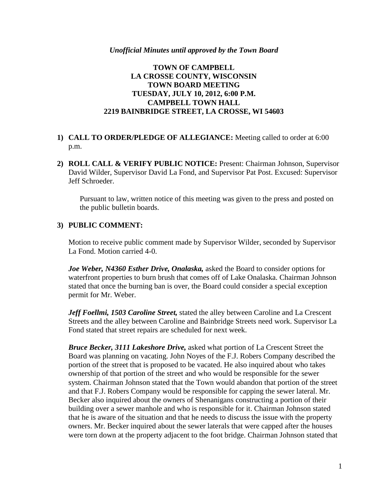#### *Unofficial Minutes until approved by the Town Board*

## **TOWN OF CAMPBELL LA CROSSE COUNTY, WISCONSIN TOWN BOARD MEETING TUESDAY, JULY 10, 2012, 6:00 P.M. CAMPBELL TOWN HALL 2219 BAINBRIDGE STREET, LA CROSSE, WI 54603**

# **1) CALL TO ORDER/PLEDGE OF ALLEGIANCE:** Meeting called to order at 6:00 p.m.

**2) ROLL CALL & VERIFY PUBLIC NOTICE:** Present: Chairman Johnson, Supervisor David Wilder, Supervisor David La Fond, and Supervisor Pat Post. Excused: Supervisor Jeff Schroeder.

Pursuant to law, written notice of this meeting was given to the press and posted on the public bulletin boards.

### **3) PUBLIC COMMENT:**

Motion to receive public comment made by Supervisor Wilder, seconded by Supervisor La Fond. Motion carried 4-0.

*Joe Weber, N4360 Esther Drive, Onalaska,* asked the Board to consider options for waterfront properties to burn brush that comes off of Lake Onalaska. Chairman Johnson stated that once the burning ban is over, the Board could consider a special exception permit for Mr. Weber.

*Jeff Foellmi, 1503 Caroline Street,* stated the alley between Caroline and La Crescent Streets and the alley between Caroline and Bainbridge Streets need work. Supervisor La Fond stated that street repairs are scheduled for next week.

*Bruce Becker, 3111 Lakeshore Drive,* asked what portion of La Crescent Street the Board was planning on vacating. John Noyes of the F.J. Robers Company described the portion of the street that is proposed to be vacated. He also inquired about who takes ownership of that portion of the street and who would be responsible for the sewer system. Chairman Johnson stated that the Town would abandon that portion of the street and that F.J. Robers Company would be responsible for capping the sewer lateral. Mr. Becker also inquired about the owners of Shenanigans constructing a portion of their building over a sewer manhole and who is responsible for it. Chairman Johnson stated that he is aware of the situation and that he needs to discuss the issue with the property owners. Mr. Becker inquired about the sewer laterals that were capped after the houses were torn down at the property adjacent to the foot bridge. Chairman Johnson stated that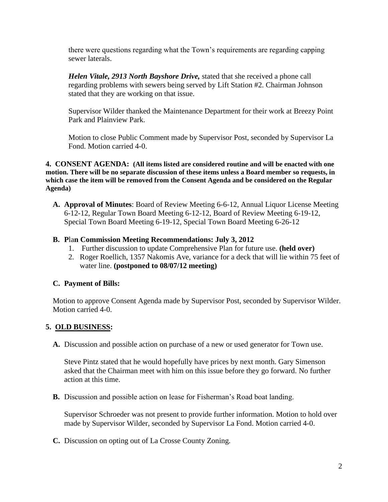there were questions regarding what the Town's requirements are regarding capping sewer laterals.

*Helen Vitale, 2913 North Bayshore Drive,* stated that she received a phone call regarding problems with sewers being served by Lift Station #2. Chairman Johnson stated that they are working on that issue.

Supervisor Wilder thanked the Maintenance Department for their work at Breezy Point Park and Plainview Park.

Motion to close Public Comment made by Supervisor Post, seconded by Supervisor La Fond. Motion carried 4-0.

**4. CONSENT AGENDA: (All items listed are considered routine and will be enacted with one motion. There will be no separate discussion of these items unless a Board member so requests, in which case the item will be removed from the Consent Agenda and be considered on the Regular Agenda)**

**A. Approval of Minutes**: Board of Review Meeting 6-6-12, Annual Liquor License Meeting 6-12-12, Regular Town Board Meeting 6-12-12, Board of Review Meeting 6-19-12, Special Town Board Meeting 6-19-12, Special Town Board Meeting 6-26-12

## **B. P**la**n Commission Meeting Recommendations: July 3, 2012**

- 1. Further discussion to update Comprehensive Plan for future use. **(held over)**
- 2. Roger Roellich, 1357 Nakomis Ave, variance for a deck that will lie within 75 feet of water line. **(postponed to 08/07/12 meeting)**

# **C. Payment of Bills:**

Motion to approve Consent Agenda made by Supervisor Post, seconded by Supervisor Wilder. Motion carried 4-0.

# **5. OLD BUSINESS:**

**A.** Discussion and possible action on purchase of a new or used generator for Town use.

Steve Pintz stated that he would hopefully have prices by next month. Gary Simenson asked that the Chairman meet with him on this issue before they go forward. No further action at this time.

**B.** Discussion and possible action on lease for Fisherman's Road boat landing.

Supervisor Schroeder was not present to provide further information. Motion to hold over made by Supervisor Wilder, seconded by Supervisor La Fond. Motion carried 4-0.

**C.** Discussion on opting out of La Crosse County Zoning.